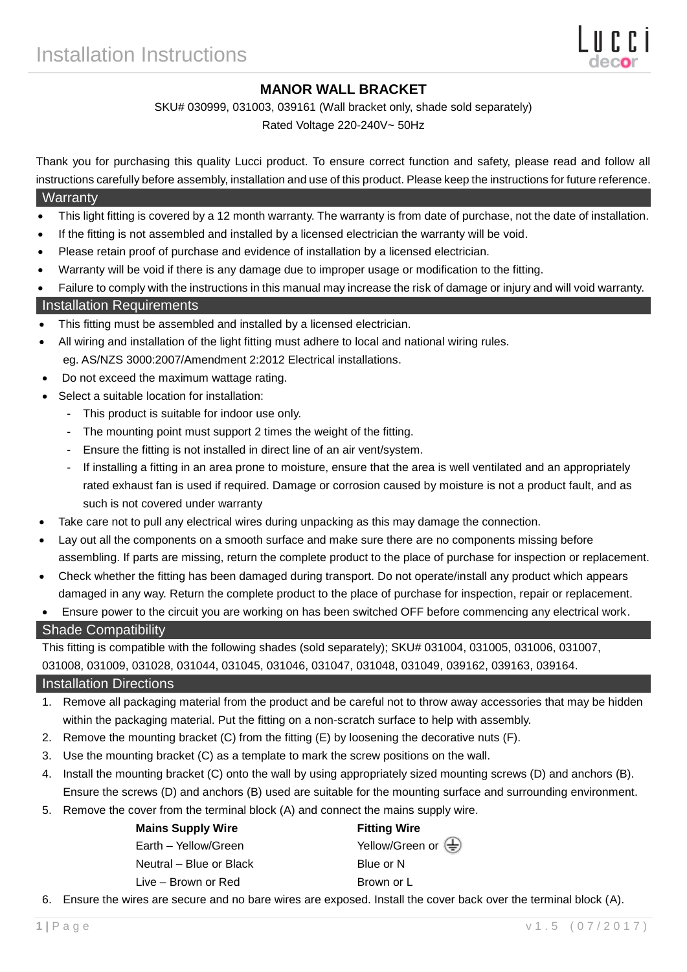## **MANOR WALL BRACKET**

SKU# 030999, 031003, 039161 (Wall bracket only, shade sold separately)

Rated Voltage 220-240V~ 50Hz

Thank you for purchasing this quality Lucci product. To ensure correct function and safety, please read and follow all instructions carefully before assembly, installation and use of this product. Please keep the instructions for future reference.

## **Warranty**

- This light fitting is covered by a 12 month warranty. The warranty is from date of purchase, not the date of installation.
- If the fitting is not assembled and installed by a licensed electrician the warranty will be void.
- Please retain proof of purchase and evidence of installation by a licensed electrician.
- Warranty will be void if there is any damage due to improper usage or modification to the fitting.
- Failure to comply with the instructions in this manual may increase the risk of damage or injury and will void warranty.

#### Installation Requirements

- This fitting must be assembled and installed by a licensed electrician.
- All wiring and installation of the light fitting must adhere to local and national wiring rules. eg. AS/NZS 3000:2007/Amendment 2:2012 Electrical installations.
- Do not exceed the maximum wattage rating.
- Select a suitable location for installation:
	- This product is suitable for indoor use only.
	- The mounting point must support 2 times the weight of the fitting.
	- Ensure the fitting is not installed in direct line of an air vent/system.
	- If installing a fitting in an area prone to moisture, ensure that the area is well ventilated and an appropriately rated exhaust fan is used if required. Damage or corrosion caused by moisture is not a product fault, and as such is not covered under warranty
- Take care not to pull any electrical wires during unpacking as this may damage the connection.
- Lay out all the components on a smooth surface and make sure there are no components missing before assembling. If parts are missing, return the complete product to the place of purchase for inspection or replacement.
- Check whether the fitting has been damaged during transport. Do not operate/install any product which appears damaged in any way. Return the complete product to the place of purchase for inspection, repair or replacement.
- Ensure power to the circuit you are working on has been switched OFF before commencing any electrical work.

#### Shade Compatibility

This fitting is compatible with the following shades (sold separately); SKU# 031004, 031005, 031006, 031007,

# 031008, 031009, 031028, 031044, 031045, 031046, 031047, 031048, 031049, 039162, 039163, 039164.

#### Installation Directions

- 1. Remove all packaging material from the product and be careful not to throw away accessories that may be hidden within the packaging material. Put the fitting on a non-scratch surface to help with assembly.
- 2. Remove the mounting bracket (C) from the fitting (E) by loosening the decorative nuts (F).
- 3. Use the mounting bracket (C) as a template to mark the screw positions on the wall.
- 4. Install the mounting bracket (C) onto the wall by using appropriately sized mounting screws (D) and anchors (B). Ensure the screws (D) and anchors (B) used are suitable for the mounting surface and surrounding environment.

**Fitting Wire** 

Blue or N Brown or L

Yellow/Green or  $\left(\frac{\Gamma}{n}\right)$ 

5. Remove the cover from the terminal block (A) and connect the mains supply wire.

| <b>Mains Supply Wire</b> |  |  |  |  |
|--------------------------|--|--|--|--|
| Earth - Yellow/Green     |  |  |  |  |
| Neutral - Blue or Black  |  |  |  |  |
| Live – Brown or Red      |  |  |  |  |

6. Ensure the wires are secure and no bare wires are exposed. Install the cover back over the terminal block (A).